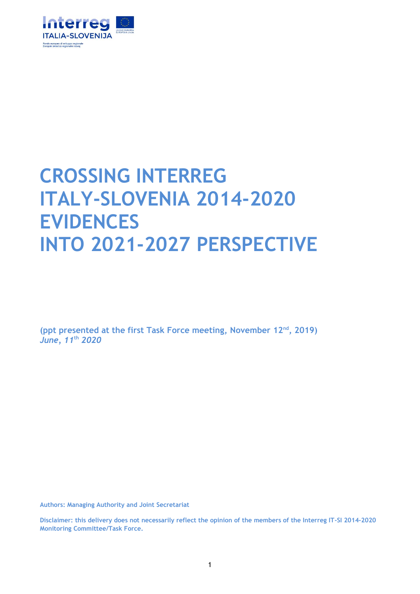

# **CROSSING INTERREG ITALY-SLOVENIA 2014-2020 EVIDENCES INTO 2021-2027 PERSPECTIVE**

**(ppt presented at the first Task Force meeting, November 12nd , 2019)** *June, 11***th** *2020*

**Authors: Managing Authority and Joint Secretariat**

**Disclaimer: this delivery does not necessarily reflect the opinion of the members of the Interreg IT-SI 2014-2020 Monitoring Committee/Task Force.**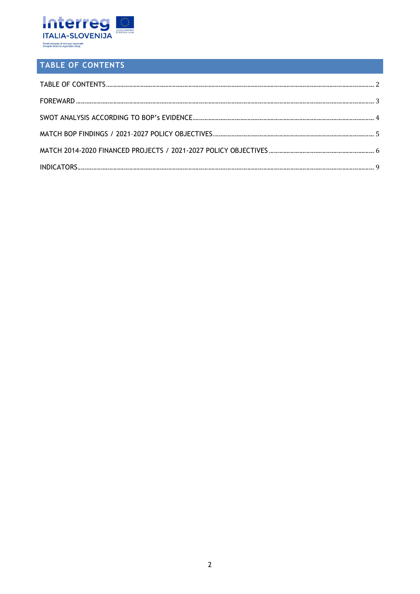

## <span id="page-1-0"></span>TABLE OF CONTENTS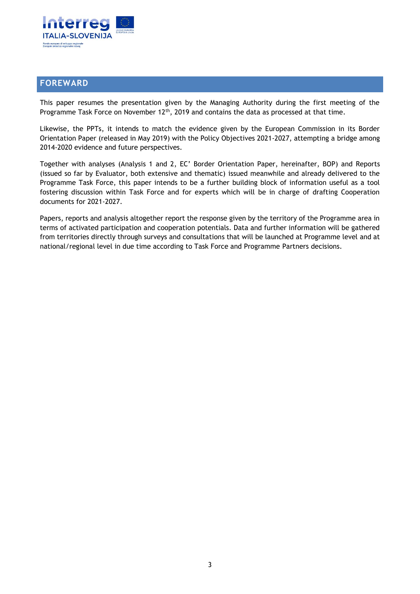

#### <span id="page-2-0"></span>**FOREWARD**

This paper resumes the presentation given by the Managing Authority during the first meeting of the Programme Task Force on November  $12<sup>th</sup>$ , 2019 and contains the data as processed at that time.

Likewise, the PPTs, it intends to match the evidence given by the European Commission in its Border Orientation Paper (released in May 2019) with the Policy Objectives 2021-2027, attempting a bridge among 2014-2020 evidence and future perspectives.

Together with analyses (Analysis 1 and 2, EC' Border Orientation Paper, hereinafter, BOP) and Reports (issued so far by Evaluator, both extensive and thematic) issued meanwhile and already delivered to the Programme Task Force, this paper intends to be a further building block of information useful as a tool fostering discussion within Task Force and for experts which will be in charge of drafting Cooperation documents for 2021-2027.

Papers, reports and analysis altogether report the response given by the territory of the Programme area in terms of activated participation and cooperation potentials. Data and further information will be gathered from territories directly through surveys and consultations that will be launched at Programme level and at national/regional level in due time according to Task Force and Programme Partners decisions.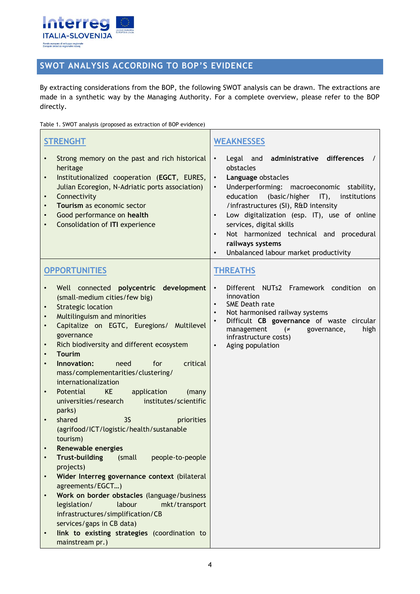

## <span id="page-3-0"></span>**SWOT ANALYSIS ACCORDING TO BOP'S EVIDENCE**

By extracting considerations from the BOP, the following SWOT analysis can be drawn. The extractions are made in a synthetic way by the Managing Authority. For a complete overview, please refer to the BOP directly.

Table 1. SWOT analysis (proposed as extraction of BOP evidence)

| <b>STRENGHT</b>                                                                                                                                                                                                                                                                                                                                                                                                                                                                                                                                                                                                                                                                                                                                                                                                                                                                                                                                                                                                                                                                                   | <b>WEAKNESSES</b>                                                                                                                                                                                                                                                                                                                                                                                                                                                                |
|---------------------------------------------------------------------------------------------------------------------------------------------------------------------------------------------------------------------------------------------------------------------------------------------------------------------------------------------------------------------------------------------------------------------------------------------------------------------------------------------------------------------------------------------------------------------------------------------------------------------------------------------------------------------------------------------------------------------------------------------------------------------------------------------------------------------------------------------------------------------------------------------------------------------------------------------------------------------------------------------------------------------------------------------------------------------------------------------------|----------------------------------------------------------------------------------------------------------------------------------------------------------------------------------------------------------------------------------------------------------------------------------------------------------------------------------------------------------------------------------------------------------------------------------------------------------------------------------|
| Strong memory on the past and rich historical<br>$\bullet$<br>heritage<br>Institutionalized cooperation (EGCT, EURES,<br>$\bullet$<br>Julian Ecoregion, N-Adriatic ports association)<br>Connectivity<br>$\bullet$<br>Tourism as economic sector<br>Good performance on health<br>$\bullet$<br><b>Consolidation of ITI experience</b>                                                                                                                                                                                                                                                                                                                                                                                                                                                                                                                                                                                                                                                                                                                                                             | administrative differences<br>$\bullet$<br>Legal and<br>obstacles<br>Language obstacles<br>$\bullet$<br>Underperforming: macroeconomic stability,<br>$\bullet$<br>education<br>(basic/higher IT), institutions<br>/infrastructures (SI), R&D intensity<br>Low digitalization (esp. IT), use of online<br>$\bullet$<br>services, digital skills<br>Not harmonized technical and procedural<br>$\bullet$<br>railways systems<br>Unbalanced labour market productivity<br>$\bullet$ |
| <b>OPPORTUNITIES</b>                                                                                                                                                                                                                                                                                                                                                                                                                                                                                                                                                                                                                                                                                                                                                                                                                                                                                                                                                                                                                                                                              | <b>THREATHS</b>                                                                                                                                                                                                                                                                                                                                                                                                                                                                  |
| Well connected polycentric development<br>(small-medium cities/few big)<br><b>Strategic location</b><br>$\bullet$<br>Multilinguism and minorities<br>$\bullet$<br>Capitalize on EGTC, Euregions/ Multilevel<br>governance<br>Rich biodiversity and different ecosystem<br>$\bullet$<br><b>Tourim</b><br>$\bullet$<br>Innovation:<br>critical<br>for<br>need<br>$\bullet$<br>mass/complementarities/clustering/<br>internationalization<br>KE<br>Potential<br>application<br>(many<br>$\bullet$<br>universities/research<br>institutes/scientific<br>parks)<br>shared<br>35<br>priorities<br>$\bullet$<br>(agrifood/ICT/logistic/health/sustanable<br>tourism)<br>Renewable energies<br><b>Trust-building</b><br>(small<br>people-to-people<br>$\bullet$<br>projects)<br>Wider Interreg governance context (bilateral<br>$\bullet$<br>agreements/EGCT)<br>Work on border obstacles (language/business<br>legislation/<br>labour<br>mkt/transport<br>infrastructures/simplification/CB<br>services/gaps in CB data)<br>link to existing strategies (coordination to<br>$\bullet$<br>mainstream pr.) | Different NUTs2 Framework condition<br>$\bullet$<br>on<br>innovation<br>SME Death rate<br>$\bullet$<br>Not harmonised railway systems<br>$\bullet$<br>Difficult CB governance of waste circular<br>$\bullet$<br>management<br>high<br>$\epsilon$<br>governance,<br>infrastructure costs)<br>$\bullet$<br>Aging population                                                                                                                                                        |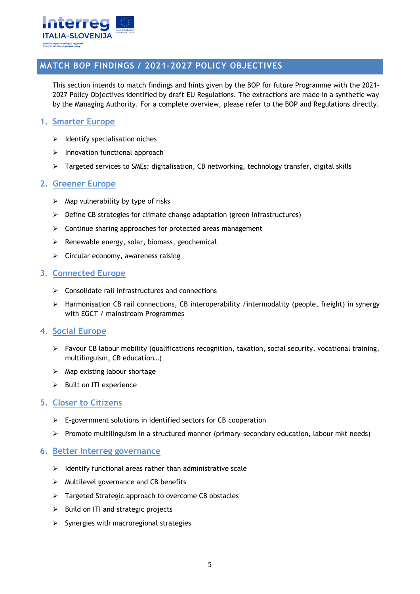

#### <span id="page-4-0"></span>**MATCH BOP FINDINGS / 2021–2027 POLICY OBJECTIVES**

This section intends to match findings and hints given by the BOP for future Programme with the 2021- 2027 Policy Objectives identified by draft EU Regulations. The extractions are made in a synthetic way by the Managing Authority. For a complete overview, please refer to the BOP and Regulations directly.

#### **1. Smarter Europe**

- $\triangleright$  Identify specialisation niches
- $\triangleright$  Innovation functional approach
- $\triangleright$  Targeted services to SMEs: digitalisation, CB networking, technology transfer, digital skills

#### **2. Greener Europe**

- $\triangleright$  Map vulnerability by type of risks
- $\triangleright$  Define CB strategies for climate change adaptation (green infrastructures)
- $\triangleright$  Continue sharing approaches for protected areas management
- $\triangleright$  Renewable energy, solar, biomass, geochemical
- $\triangleright$  Circular economy, awareness raising

#### **3. Connected Europe**

- $\triangleright$  Consolidate rail infrastructures and connections
- $\triangleright$  Harmonisation CB rail connections, CB interoperability /intermodality (people, freight) in synergy with EGCT / mainstream Programmes

#### **4. Social Europe**

- $\triangleright$  Favour CB labour mobility (qualifications recognition, taxation, social security, vocational training, multilinguism, CB education…)
- $\triangleright$  Map existing labour shortage
- $\triangleright$  Built on ITI experience

#### **5. Closer to Citizens**

- $\triangleright$  E-government solutions in identified sectors for CB cooperation
- $\triangleright$  Promote multilinguism in a structured manner (primary-secondary education, labour mkt needs)

#### **6. Better Interreg governance**

- $\triangleright$  Identify functional areas rather than administrative scale
- $\triangleright$  Multilevel governance and CB benefits
- > Targeted Strategic approach to overcome CB obstacles
- $\triangleright$  Build on ITI and strategic projects
- $\triangleright$  Synergies with macroregional strategies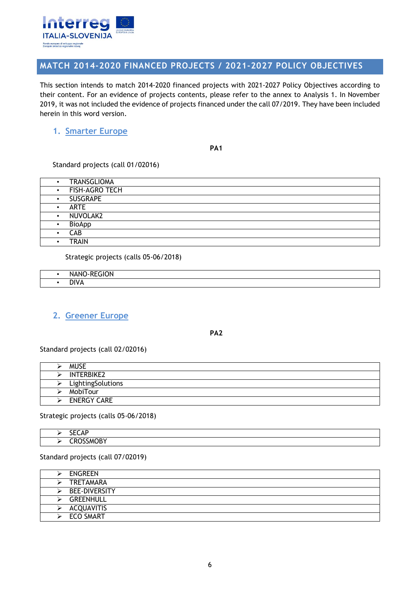

#### <span id="page-5-0"></span>**MATCH 2014-2020 FINANCED PROJECTS / 2021-2027 POLICY OBJECTIVES**

This section intends to match 2014-2020 financed projects with 2021-2027 Policy Objectives according to their content. For an evidence of projects contents, please refer to the annex to Analysis 1. In November 2019, it was not included the evidence of projects financed under the call 07/2019. They have been included herein in this word version.

#### **1. Smarter Europe**

**PA1**

Standard projects (call 01/02016)

| $\bullet$ | <b>TRANSGLIOMA</b> |
|-----------|--------------------|
| $\bullet$ | FISH-AGRO TECH     |
|           | <b>SUSGRAPE</b>    |
|           | <b>ARTE</b>        |
|           | NUVOLAK2           |
|           | <b>BioApp</b>      |
|           | <b>CAB</b>         |
|           | <b>TRAIN</b>       |

Strategic projects (calls 05-06/2018)

| $\mathbf{a} = \mathbf{a} \cdot \mathbf{a} \cdot \mathbf{b}$<br>1N<br>יתי |
|--------------------------------------------------------------------------|
| N <sub>1</sub><br>the contract of the contract of the                    |

#### **2. Greener Europe**

**PA2**

Standard projects (call 02/02016)

| <b>MUSE</b>        |
|--------------------|
| <b>INTERBIKE2</b>  |
| LightingSolutions  |
| MobiTour           |
| <b>ENERGY CARE</b> |

Strategic projects (calls 05-06/2018)

|  | <b>SECAP</b>     |
|--|------------------|
|  | <b>CROSSMOBY</b> |

Standard projects (call 07/02019)

| <b>ENGREEN</b>       |
|----------------------|
| TRETAMARA            |
| <b>BEE-DIVERSITY</b> |
| <b>GREENHULL</b>     |
| ACQUAVITIS           |
| <b>ECO SMART</b>     |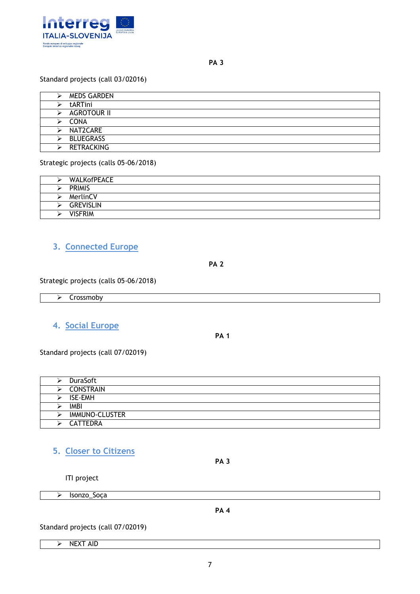

#### Standard projects (call 03/02016)

|   | MEDS GARDEN        |
|---|--------------------|
|   | tARTini            |
|   | <b>AGROTOUR II</b> |
| ⋗ | CONA               |
|   | NAT2CARE           |
|   | <b>BLUEGRASS</b>   |
|   | <b>RETRACKING</b>  |

Strategic projects (calls 05-06/2018)

| WALKofPEACE      |
|------------------|
| <b>PRIMIS</b>    |
| MerlinCV         |
| <b>GREVISLIN</b> |
| <b>VISFRIM</b>   |

### **3. Connected Europe**

**PA 2**

Strategic projects (calls 05-06/2018)

 $\triangleright$  Crossmoby

#### **4. Social Europe**

**PA 1**

Standard projects (call 07/02019)

|   | <b>DuraSoft</b>       |
|---|-----------------------|
| ⋗ | CONSTRAIN             |
|   | ISE-EMH               |
|   | <b>IMBI</b>           |
|   | <b>IMMUNO-CLUSTER</b> |
|   | <b>CATTEDRA</b>       |

#### **5. Closer to Citizens**

ITI project

> Isonzo\_Soça

**PA 4**

**PA 3**

Standard projects (call 07/02019)

 $\triangleright$  NEXT AID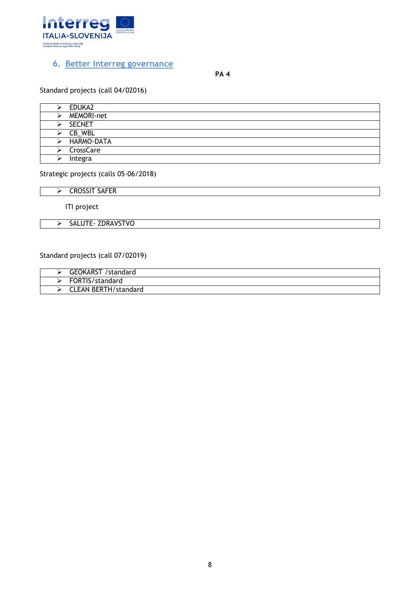

#### **6. Better Interreg governance**

**PA 4**

#### Standard projects (call 04/02016)

|   | EDUKA2                  |
|---|-------------------------|
|   | MEMORI-net              |
|   | <b>SECNET</b>           |
|   | $\triangleright$ CB_WBL |
|   | HARMO-DATA              |
| ⋗ | CrossCare               |
|   | Integra                 |

#### Strategic projects (calls 05-06/2018)

 $\triangleright$  CROSSIT SAFER

ITI project

> SALUTE- ZDRAVSTVO

#### Standard projects (call 07/02019)

| <b>GEOKARST</b><br>standard/ |
|------------------------------|
| FORTIS/standard              |
| <b>CLEAN BERTH/standard</b>  |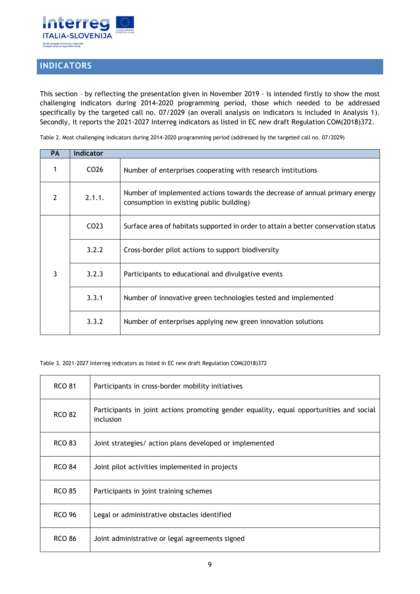

## <span id="page-8-0"></span>**INDICATORS**

This section – by reflecting the presentation given in November 2019 - is intended firstly to show the most challenging indicators during 2014-2020 programming period, those which needed to be addressed specifically by the targeted call no. 07/2029 (an overall analysis on indicators is included in Analysis 1). Secondly, it reports the 2021-2027 Interreg indicators as listed in EC new draft Regulation COM(2018)372.

Table 2. Most challenging indicators during 2014-2020 programming period (addressed by the targeted call no. 07/2029)

| <b>PA</b> | <b>Indicator</b> |                                                                                                                         |
|-----------|------------------|-------------------------------------------------------------------------------------------------------------------------|
|           | CO <sub>26</sub> | Number of enterprises cooperating with research institutions                                                            |
| 2         | 2.1.1.           | Number of implemented actions towards the decrease of annual primary energy<br>consumption in existing public building) |
| 3         | CO <sub>23</sub> | Surface area of habitats supported in order to attain a better conservation status                                      |
|           | 3.2.2            | Cross-border pilot actions to support biodiversity                                                                      |
|           | 3.2.3            | Participants to educational and divulgative events                                                                      |
|           | 3.3.1            | Number of innovative green technologies tested and implemented                                                          |
|           | 3.3.2            | Number of enterprises applying new green innovation solutions                                                           |

Table 3. 2021-2027 Interreg indicators as listed in EC new draft Regulation COM(2018)372

| <b>RCO 81</b> | Participants in cross-border mobility initiatives                                                    |
|---------------|------------------------------------------------------------------------------------------------------|
| <b>RCO 82</b> | Participants in joint actions promoting gender equality, equal opportunities and social<br>inclusion |
| <b>RCO 83</b> | Joint strategies/ action plans developed or implemented                                              |
| <b>RCO 84</b> | Joint pilot activities implemented in projects                                                       |
| <b>RCO 85</b> | Participants in joint training schemes                                                               |
| <b>RCO 96</b> | Legal or administrative obstacles identified                                                         |
| <b>RCO 86</b> | Joint administrative or legal agreements signed                                                      |